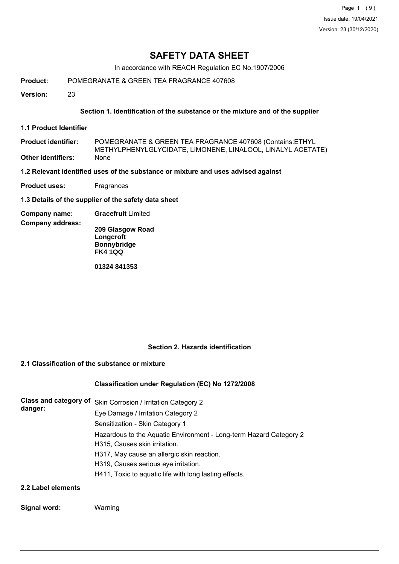Page 1 (9) Issue date: 19/04/2021 Version: 23 (30/12/2020)

# **SAFETY DATA SHEET**

In accordance with REACH Regulation EC No.1907/2006

**Product:** POMEGRANATE & GREEN TEA FRAGRANCE 407608

**Version:** 23

### **Section 1. Identification of the substance or the mixture and of the supplier**

**1.1 Product Identifier**

POMEGRANATE & GREEN TEA FRAGRANCE 407608 (Contains:ETHYL METHYLPHENYLGLYCIDATE, LIMONENE, LINALOOL, LINALYL ACETATE) **Product identifier: Other identifiers:** None

**1.2 Relevant identified uses of the substance or mixture and uses advised against**

**Product uses:** Fragrances

**1.3 Details of the supplier of the safety data sheet**

**Company name: Gracefruit** Limited

**Company address:**

**209 Glasgow Road Longcroft Bonnybridge FK4 1QQ**

**01324 841353**

#### **Section 2. Hazards identification**

# **2.1 Classification of the substance or mixture**

#### **Classification under Regulation (EC) No 1272/2008**

| <b>Class and category of</b><br>danger: | Skin Corrosion / Irritation Category 2                             |
|-----------------------------------------|--------------------------------------------------------------------|
|                                         | Eye Damage / Irritation Category 2                                 |
|                                         | Sensitization - Skin Category 1                                    |
|                                         | Hazardous to the Aquatic Environment - Long-term Hazard Category 2 |
|                                         | H315, Causes skin irritation.                                      |
|                                         | H317, May cause an allergic skin reaction.                         |
|                                         | H319, Causes serious eye irritation.                               |
|                                         | H411, Toxic to aquatic life with long lasting effects.             |
| 2.2 Label elements                      |                                                                    |

#### **Signal word:** Warning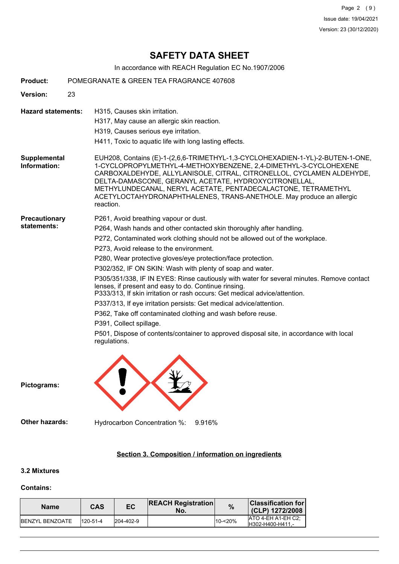Page 2 (9) Issue date: 19/04/2021 Version: 23 (30/12/2020)

# **SAFETY DATA SHEET**

In accordance with REACH Regulation EC No.1907/2006

| <b>Product:</b>                     | POMEGRANATE & GREEN TEA FRAGRANCE 407608                                                                                                                                                                                                                                                                                                                                                                                                                                                                                                                                                                                                                                                                                                                                                                                                                                             |
|-------------------------------------|--------------------------------------------------------------------------------------------------------------------------------------------------------------------------------------------------------------------------------------------------------------------------------------------------------------------------------------------------------------------------------------------------------------------------------------------------------------------------------------------------------------------------------------------------------------------------------------------------------------------------------------------------------------------------------------------------------------------------------------------------------------------------------------------------------------------------------------------------------------------------------------|
| <b>Version:</b>                     | 23                                                                                                                                                                                                                                                                                                                                                                                                                                                                                                                                                                                                                                                                                                                                                                                                                                                                                   |
| <b>Hazard statements:</b>           | H315, Causes skin irritation.<br>H317, May cause an allergic skin reaction.<br>H319, Causes serious eye irritation.<br>H411, Toxic to aquatic life with long lasting effects.                                                                                                                                                                                                                                                                                                                                                                                                                                                                                                                                                                                                                                                                                                        |
| Supplemental<br>Information:        | EUH208, Contains (E)-1-(2,6,6-TRIMETHYL-1,3-CYCLOHEXADIEN-1-YL)-2-BUTEN-1-ONE,<br>1-CYCLOPROPYLMETHYL-4-METHOXYBENZENE, 2,4-DIMETHYL-3-CYCLOHEXENE<br>CARBOXALDEHYDE, ALLYLANISOLE, CITRAL, CITRONELLOL, CYCLAMEN ALDEHYDE,<br>DELTA-DAMASCONE, GERANYL ACETATE, HYDROXYCITRONELLAL,<br>METHYLUNDECANAL, NERYL ACETATE, PENTADECALACTONE, TETRAMETHYL<br>ACETYLOCTAHYDRONAPHTHALENES, TRANS-ANETHOLE. May produce an allergic<br>reaction.                                                                                                                                                                                                                                                                                                                                                                                                                                           |
| <b>Precautionary</b><br>statements: | P261, Avoid breathing vapour or dust.<br>P264, Wash hands and other contacted skin thoroughly after handling.<br>P272, Contaminated work clothing should not be allowed out of the workplace.<br>P273, Avoid release to the environment.<br>P280, Wear protective gloves/eye protection/face protection.<br>P302/352, IF ON SKIN: Wash with plenty of soap and water.<br>P305/351/338, IF IN EYES: Rinse cautiously with water for several minutes. Remove contact<br>lenses, if present and easy to do. Continue rinsing.<br>P333/313, If skin irritation or rash occurs: Get medical advice/attention.<br>P337/313, If eye irritation persists: Get medical advice/attention.<br>P362, Take off contaminated clothing and wash before reuse.<br>P391, Collect spillage.<br>P501, Dispose of contents/container to approved disposal site, in accordance with local<br>regulations. |
| Pictograms:                         | ٧V.                                                                                                                                                                                                                                                                                                                                                                                                                                                                                                                                                                                                                                                                                                                                                                                                                                                                                  |
| <b>Other hazards:</b>               | Hydrocarbon Concentration %:<br>9.916%                                                                                                                                                                                                                                                                                                                                                                                                                                                                                                                                                                                                                                                                                                                                                                                                                                               |
|                                     | Section 3. Composition / information on ingredients                                                                                                                                                                                                                                                                                                                                                                                                                                                                                                                                                                                                                                                                                                                                                                                                                                  |

#### **3.2 Mixtures**

#### **Contains:**

| <b>Name</b>             | CAS             | EC                | <b>REACH Registration</b><br>No. | $\%$    | Classification for  <br>(CLP) 1272/2008 |
|-------------------------|-----------------|-------------------|----------------------------------|---------|-----------------------------------------|
| <b>IBENZYL BENZOATE</b> | $1120 - 51 - 4$ | $ 204 - 402 - 9 $ |                                  | 10-<20% | IATO 4-EH A1-EH C2:<br>H302-H400-H411 - |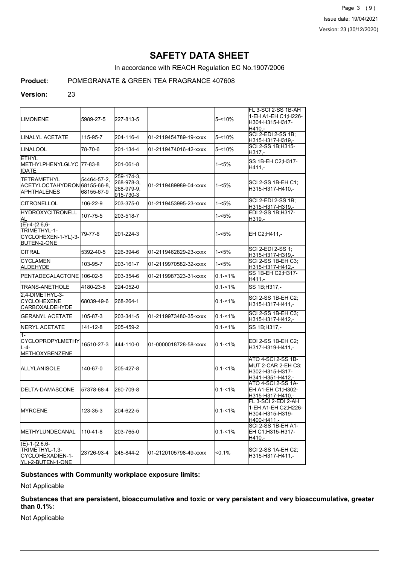Page 3 (9) Issue date: 19/04/2021 Version: 23 (30/12/2020)

# **SAFETY DATA SHEET**

In accordance with REACH Regulation EC No.1907/2006

# **Product:** POMEGRANATE & GREEN TEA FRAGRANCE 407608

#### **Version:** 23

| <b>LIMONENE</b>                                                              | 5989-27-5                 | 227-813-5                                           |                       | 5-<10%      | FL 3-SCI 2-SS 1B-AH<br>1-EH A1-EH C1: H226-<br>H304-H315-H317-<br>H410.-               |
|------------------------------------------------------------------------------|---------------------------|-----------------------------------------------------|-----------------------|-------------|----------------------------------------------------------------------------------------|
| ILINALYL ACETATE                                                             | 115-95-7                  | 204-116-4                                           | 01-2119454789-19-xxxx | 5-<10%      | SCI 2-EDI 2-SS 1B;<br>H315-H317-H319,-                                                 |
| ILINALOOL                                                                    | 78-70-6                   | 201-134-4                                           | 01-2119474016-42-xxxx | $5 - 10%$   | SCI 2-SS 1B:H315-<br>H317,-                                                            |
| <b>ETHYL</b><br>METHYLPHENYLGLYC  77-83-8 <br><b>IDATE</b>                   |                           | 201-061-8                                           |                       | 1-<5%       | SS 1B-EH C2;H317-<br>H411.-                                                            |
| <b>TETRAMETHYL</b><br>ACETYLOCTAHYDRON 68155-66-8.<br><b>IAPHTHALENES</b>    | 54464-57-2,<br>68155-67-9 | 259-174-3.<br>268-978-3.<br>268-979-9.<br>915-730-3 | 01-2119489989-04-xxxx | 1-<5%       | SCI 2-SS 1B-EH C1:<br>H315-H317-H410,-                                                 |
| ICITRONELLOL                                                                 | 106-22-9                  | 203-375-0                                           | 01-2119453995-23-xxxx | 1-<5%       | SCI 2-EDI 2-SS 1B;<br>H315-H317-H319,-                                                 |
| <b>HYDROXYCITRONELL</b><br>AL                                                | 107-75-5                  | 203-518-7                                           |                       | 1-<5%       | EDI 2-SS 1B;H317-<br>H319.-                                                            |
| $(E)-4-(2,6,6-$<br>TRIMETHYL-1-<br>CYCLOHEXEN-1-YL)-3-<br><b>BUTEN-2-ONE</b> | 79-77-6                   | 201-224-3                                           |                       | 1-<5%       | EH C2;H411,-                                                                           |
| <b>CITRAL</b>                                                                | 5392-40-5                 | 226-394-6                                           | 01-2119462829-23-xxxx | 1-<5%       | SCI 2-EDI 2-SS 1;<br>H315-H317-H319,-                                                  |
| <b>CYCLAMEN</b><br>ALDEHYDE                                                  | 103-95-7                  | 203-161-7                                           | 01-2119970582-32-xxxx | 1-<5%       | SCI 2-SS 1B-EH C3:<br>H315-H317-H412,-                                                 |
| PENTADECALACTONE 106-02-5                                                    |                           | 203-354-6                                           | 01-2119987323-31-xxxx | $0.1 - 1\%$ | SS 1B-EH C2:H317-<br>H411,-                                                            |
| TRANS-ANETHOLE                                                               | 4180-23-8                 | 224-052-0                                           |                       | $0.1 - 1\%$ | SS 1B;H317,-                                                                           |
| 2.4-DIMETHYL-3-<br><b>CYCLOHEXENE</b><br> CARBOXALDEHYDE                     | 68039-49-6                | 268-264-1                                           |                       | $0.1 - 1\%$ | SCI 2-SS 1B-EH C2:<br>H315-H317-H411,-                                                 |
| IGERANYL ACETATE                                                             | 105-87-3                  | 203-341-5                                           | 01-2119973480-35-xxxx | $0.1 - 1\%$ | <b>SCI 2-SS 1B-EH C3:</b><br>H315-H317-H412,-                                          |
| NERYL ACETATE                                                                | 141-12-8                  | 205-459-2                                           |                       | $0.1 - 1%$  | SS 1B:H317.-                                                                           |
| $1 -$<br> CYCLOPROPYLMETHY<br>IL-4-<br>METHOXYBENZENE                        | 16510-27-3                | 444-110-0                                           | 01-0000018728-58-xxxx | $0.1 - 1\%$ | EDI 2-SS 1B-EH C2:<br>H317-H319-H411.-                                                 |
| IALLYLANISOLE                                                                | 140-67-0                  | 205-427-8                                           |                       | $0.1 - 1%$  | <b>ATO 4-SCI 2-SS 1B-</b><br>MUT 2-CAR 2-EH C3:<br>H302-H315-H317-<br>H341-H351-H412.- |
| <b>IDELTA-DAMASCONE</b>                                                      | 157378-68-4               | 260-709-8                                           |                       | $0.1 - 1\%$ | ATO 4-SCI 2-SS 1A-<br>EH A1-EH C1: H302-<br>H315-H317-H410,-                           |
| <b>IMYRCENE</b>                                                              | 123-35-3                  | 204-622-5                                           |                       | $0.1 - 1\%$ | FL 3-SCI 2-EDI 2-AH<br>1-EH A1-EH C2;H226-<br>H304-H315-H319-<br>H400-H411,-           |
| IMETHYLUNDECANAL                                                             | 110-41-8                  | 203-765-0                                           |                       | $0.1 - 1\%$ | SCI 2-SS 1B-EH A1-<br>EH C1: H315-H317-<br>H410,-                                      |
| $(E)-1-(2,6,6-$<br>TRIMETHYL-1,3-<br> CYCLOHEXADIEN-1-<br>YL)-2-BUTEN-1-ONE  | 23726-93-4                | 245-844-2                                           | 01-2120105798-49-xxxx | $< 0.1\%$   | SCI 2-SS 1A-EH C2;<br>H315-H317-H411,-                                                 |

# **Substances with Community workplace exposure limits:**

Not Applicable

**Substances that are persistent, bioaccumulative and toxic or very persistent and very bioaccumulative, greater than 0.1%:**

Not Applicable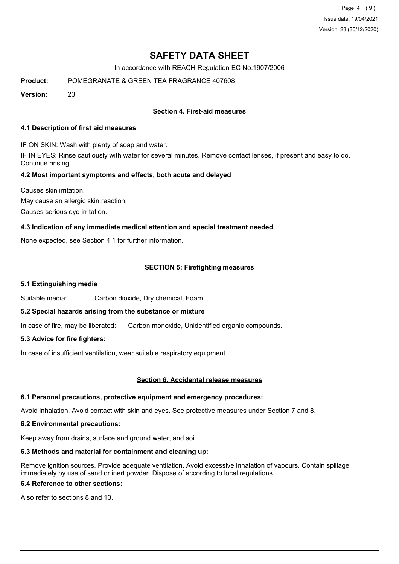Page 4 (9) Issue date: 19/04/2021 Version: 23 (30/12/2020)

# **SAFETY DATA SHEET**

In accordance with REACH Regulation EC No.1907/2006

**Product:** POMEGRANATE & GREEN TEA FRAGRANCE 407608

**Version:** 23

## **Section 4. First-aid measures**

#### **4.1 Description of first aid measures**

IF ON SKIN: Wash with plenty of soap and water.

IF IN EYES: Rinse cautiously with water for several minutes. Remove contact lenses, if present and easy to do. Continue rinsing.

#### **4.2 Most important symptoms and effects, both acute and delayed**

Causes skin irritation. May cause an allergic skin reaction. Causes serious eye irritation.

### **4.3 Indication of any immediate medical attention and special treatment needed**

None expected, see Section 4.1 for further information.

### **SECTION 5: Firefighting measures**

#### **5.1 Extinguishing media**

Suitable media: Carbon dioxide, Dry chemical, Foam.

#### **5.2 Special hazards arising from the substance or mixture**

In case of fire, may be liberated: Carbon monoxide, Unidentified organic compounds.

#### **5.3 Advice for fire fighters:**

In case of insufficient ventilation, wear suitable respiratory equipment.

#### **Section 6. Accidental release measures**

#### **6.1 Personal precautions, protective equipment and emergency procedures:**

Avoid inhalation. Avoid contact with skin and eyes. See protective measures under Section 7 and 8.

#### **6.2 Environmental precautions:**

Keep away from drains, surface and ground water, and soil.

#### **6.3 Methods and material for containment and cleaning up:**

Remove ignition sources. Provide adequate ventilation. Avoid excessive inhalation of vapours. Contain spillage immediately by use of sand or inert powder. Dispose of according to local regulations.

## **6.4 Reference to other sections:**

Also refer to sections 8 and 13.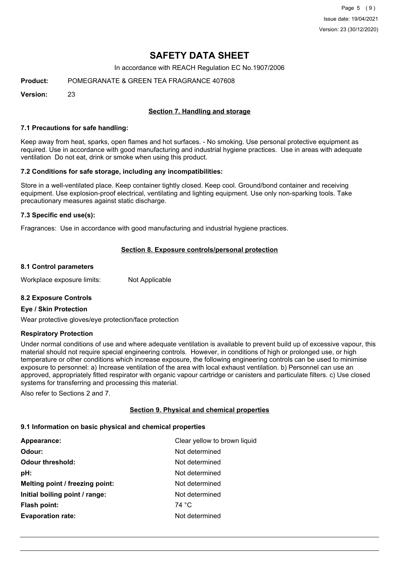Page 5 (9) Issue date: 19/04/2021 Version: 23 (30/12/2020)

# **SAFETY DATA SHEET**

In accordance with REACH Regulation EC No.1907/2006

**Product:** POMEGRANATE & GREEN TEA FRAGRANCE 407608

**Version:** 23

### **Section 7. Handling and storage**

#### **7.1 Precautions for safe handling:**

Keep away from heat, sparks, open flames and hot surfaces. - No smoking. Use personal protective equipment as required. Use in accordance with good manufacturing and industrial hygiene practices. Use in areas with adequate ventilation Do not eat, drink or smoke when using this product.

#### **7.2 Conditions for safe storage, including any incompatibilities:**

Store in a well-ventilated place. Keep container tightly closed. Keep cool. Ground/bond container and receiving equipment. Use explosion-proof electrical, ventilating and lighting equipment. Use only non-sparking tools. Take precautionary measures against static discharge.

#### **7.3 Specific end use(s):**

Fragrances: Use in accordance with good manufacturing and industrial hygiene practices.

#### **Section 8. Exposure controls/personal protection**

#### **8.1 Control parameters**

Workplace exposure limits: Not Applicable

#### **8.2 Exposure Controls**

#### **Eye / Skin Protection**

Wear protective gloves/eye protection/face protection

### **Respiratory Protection**

Under normal conditions of use and where adequate ventilation is available to prevent build up of excessive vapour, this material should not require special engineering controls. However, in conditions of high or prolonged use, or high temperature or other conditions which increase exposure, the following engineering controls can be used to minimise exposure to personnel: a) Increase ventilation of the area with local exhaust ventilation. b) Personnel can use an approved, appropriately fitted respirator with organic vapour cartridge or canisters and particulate filters. c) Use closed systems for transferring and processing this material.

Also refer to Sections 2 and 7.

#### **Section 9. Physical and chemical properties**

#### **9.1 Information on basic physical and chemical properties**

| Clear yellow to brown liquid |
|------------------------------|
| Not determined               |
| Not determined               |
| Not determined               |
| Not determined               |
| Not determined               |
| 74 °C                        |
| Not determined               |
|                              |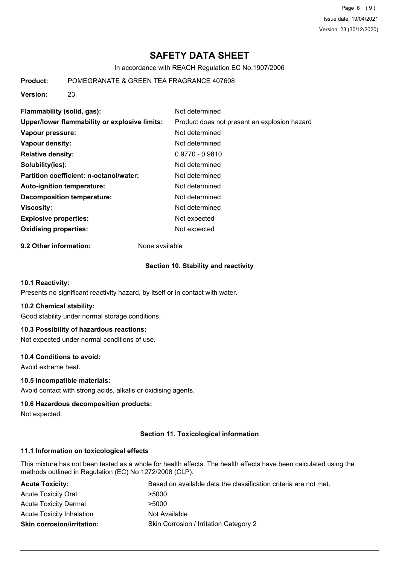Page 6 (9) Issue date: 19/04/2021 Version: 23 (30/12/2020)

# **SAFETY DATA SHEET**

In accordance with REACH Regulation EC No.1907/2006

**Product:** POMEGRANATE & GREEN TEA FRAGRANCE 407608

**Version:** 23

| Flammability (solid, gas):                    | Not determined                               |
|-----------------------------------------------|----------------------------------------------|
| Upper/lower flammability or explosive limits: | Product does not present an explosion hazard |
| Vapour pressure:                              | Not determined                               |
| Vapour density:                               | Not determined                               |
| <b>Relative density:</b>                      | $0.9770 - 0.9810$                            |
| Solubility(ies):                              | Not determined                               |
| Partition coefficient: n-octanol/water:       | Not determined                               |
| Auto-ignition temperature:                    | Not determined                               |
| <b>Decomposition temperature:</b>             | Not determined                               |
| <b>Viscosity:</b>                             | Not determined                               |
| <b>Explosive properties:</b>                  | Not expected                                 |
| <b>Oxidising properties:</b>                  | Not expected                                 |

**9.2 Other information:** None available

#### **Section 10. Stability and reactivity**

#### **10.1 Reactivity:**

Presents no significant reactivity hazard, by itself or in contact with water.

#### **10.2 Chemical stability:**

Good stability under normal storage conditions.

#### **10.3 Possibility of hazardous reactions:**

Not expected under normal conditions of use.

#### **10.4 Conditions to avoid:**

Avoid extreme heat.

#### **10.5 Incompatible materials:**

Avoid contact with strong acids, alkalis or oxidising agents.

#### **10.6 Hazardous decomposition products:**

Not expected.

#### **Section 11. Toxicological information**

### **11.1 Information on toxicological effects**

This mixture has not been tested as a whole for health effects. The health effects have been calculated using the methods outlined in Regulation (EC) No 1272/2008 (CLP).

| <b>Acute Toxicity:</b>            | Based on available data the classification criteria are not met. |
|-----------------------------------|------------------------------------------------------------------|
| <b>Acute Toxicity Oral</b>        | >5000                                                            |
| <b>Acute Toxicity Dermal</b>      | >5000                                                            |
| <b>Acute Toxicity Inhalation</b>  | Not Available                                                    |
| <b>Skin corrosion/irritation:</b> | Skin Corrosion / Irritation Category 2                           |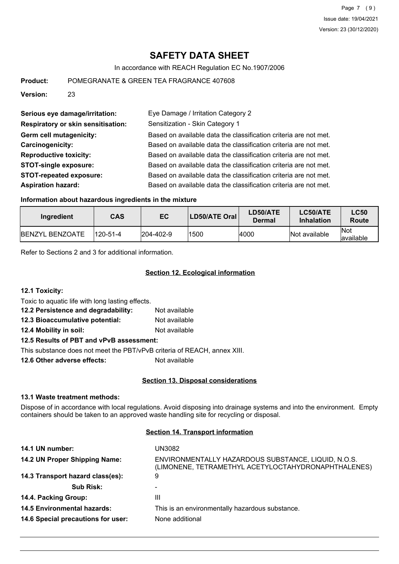# **SAFETY DATA SHEET**

In accordance with REACH Regulation EC No.1907/2006

**Product:** POMEGRANATE & GREEN TEA FRAGRANCE 407608

**Version:** 23

| Serious eye damage/irritation:            | Eye Damage / Irritation Category 2                               |
|-------------------------------------------|------------------------------------------------------------------|
| <b>Respiratory or skin sensitisation:</b> | Sensitization - Skin Category 1                                  |
| <b>Germ cell mutagenicity:</b>            | Based on available data the classification criteria are not met. |
| Carcinogenicity:                          | Based on available data the classification criteria are not met. |
| <b>Reproductive toxicity:</b>             | Based on available data the classification criteria are not met. |
| <b>STOT-single exposure:</b>              | Based on available data the classification criteria are not met. |
| <b>STOT-repeated exposure:</b>            | Based on available data the classification criteria are not met. |
| <b>Aspiration hazard:</b>                 | Based on available data the classification criteria are not met. |

#### **Information about hazardous ingredients in the mixture**

| Ingredient              | <b>CAS</b> | EC               | LD50/ATE Oral | LD50/ATE<br>Dermal | <b>LC50/ATE</b><br><b>Inhalation</b> | <b>LC50</b><br>Route |
|-------------------------|------------|------------------|---------------|--------------------|--------------------------------------|----------------------|
| <b>IBENZYL BENZOATE</b> | 120-51-4   | $ 204 - 402 - 9$ | 1500          | 4000               | Not available                        | lNot<br>lavailable   |

Refer to Sections 2 and 3 for additional information.

# **Section 12. Ecological information**

**12.1 Toxicity:**

Toxic to aquatic life with long lasting effects.

**12.2 Persistence and degradability:** Not available **12.3 Bioaccumulative potential:** Not available

**12.4 Mobility in soil:** Not available

**12.5 Results of PBT and vPvB assessment:**

This substance does not meet the PBT/vPvB criteria of REACH, annex XIII.

**12.6 Other adverse effects:** Not available

#### **Section 13. Disposal considerations**

#### **13.1 Waste treatment methods:**

Dispose of in accordance with local regulations. Avoid disposing into drainage systems and into the environment. Empty containers should be taken to an approved waste handling site for recycling or disposal.

#### **Section 14. Transport information**

| 14.1 UN number:                    | UN3082                                                                                                     |
|------------------------------------|------------------------------------------------------------------------------------------------------------|
| 14.2 UN Proper Shipping Name:      | ENVIRONMENTALLY HAZARDOUS SUBSTANCE, LIQUID, N.O.S.<br>(LIMONENE, TETRAMETHYL ACETYLOCTAHYDRONAPHTHALENES) |
| 14.3 Transport hazard class(es):   | 9                                                                                                          |
| <b>Sub Risk:</b>                   | ۰                                                                                                          |
| 14.4. Packing Group:               | Ш                                                                                                          |
| <b>14.5 Environmental hazards:</b> | This is an environmentally hazardous substance.                                                            |
| 14.6 Special precautions for user: | None additional                                                                                            |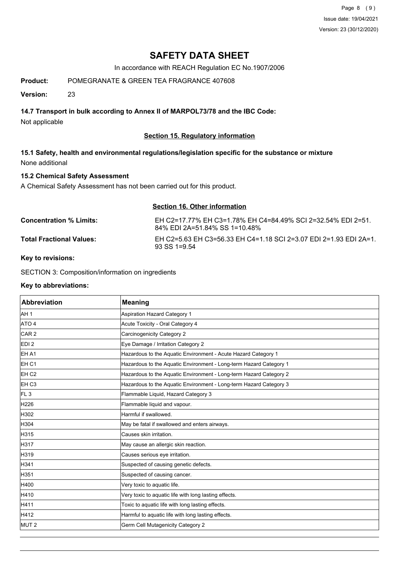Page 8 (9) Issue date: 19/04/2021 Version: 23 (30/12/2020)

# **SAFETY DATA SHEET**

In accordance with REACH Regulation EC No.1907/2006

**Product:** POMEGRANATE & GREEN TEA FRAGRANCE 407608

**Version:** 23

## **14.7 Transport in bulk according to Annex II of MARPOL73/78 and the IBC Code:**

Not applicable

### **Section 15. Regulatory information**

**15.1 Safety, health and environmental regulations/legislation specific for the substance or mixture** None additional

## **15.2 Chemical Safety Assessment**

A Chemical Safety Assessment has not been carried out for this product.

| Section 16. Other information   |                                                                                               |  |
|---------------------------------|-----------------------------------------------------------------------------------------------|--|
| <b>Concentration % Limits:</b>  | EH C2=17.77% EH C3=1.78% EH C4=84.49% SCI 2=32.54% EDI 2=51.<br>84% EDI 2A=51.84% SS 1=10.48% |  |
| <b>Total Fractional Values:</b> | EH C2=5.63 EH C3=56.33 EH C4=1.18 SCI 2=3.07 EDI 2=1.93 EDI 2A=1.<br>$93$ SS 1=9.54           |  |

#### **Key to revisions:**

SECTION 3: Composition/information on ingredients

#### **Key to abbreviations:**

| <b>Abbreviation</b> | <b>Meaning</b>                                                     |
|---------------------|--------------------------------------------------------------------|
| AH 1                | <b>Aspiration Hazard Category 1</b>                                |
| ATO 4               | Acute Toxicity - Oral Category 4                                   |
| CAR <sub>2</sub>    | Carcinogenicity Category 2                                         |
| EDI <sub>2</sub>    | Eye Damage / Irritation Category 2                                 |
| EH A1               | Hazardous to the Aquatic Environment - Acute Hazard Category 1     |
| EH <sub>C1</sub>    | Hazardous to the Aquatic Environment - Long-term Hazard Category 1 |
| EH <sub>C2</sub>    | Hazardous to the Aquatic Environment - Long-term Hazard Category 2 |
| EH C <sub>3</sub>   | Hazardous to the Aquatic Environment - Long-term Hazard Category 3 |
| FL <sub>3</sub>     | Flammable Liquid, Hazard Category 3                                |
| H226                | Flammable liquid and vapour.                                       |
| H302                | Harmful if swallowed.                                              |
| H304                | May be fatal if swallowed and enters airways.                      |
| H315                | Causes skin irritation.                                            |
| H317                | May cause an allergic skin reaction.                               |
| H319                | Causes serious eye irritation.                                     |
| H341                | Suspected of causing genetic defects.                              |
| H351                | Suspected of causing cancer.                                       |
| H400                | Very toxic to aquatic life.                                        |
| H410                | Very toxic to aquatic life with long lasting effects.              |
| H411                | Toxic to aquatic life with long lasting effects.                   |
| H412                | Harmful to aquatic life with long lasting effects.                 |
| MUT <sub>2</sub>    | Germ Cell Mutagenicity Category 2                                  |